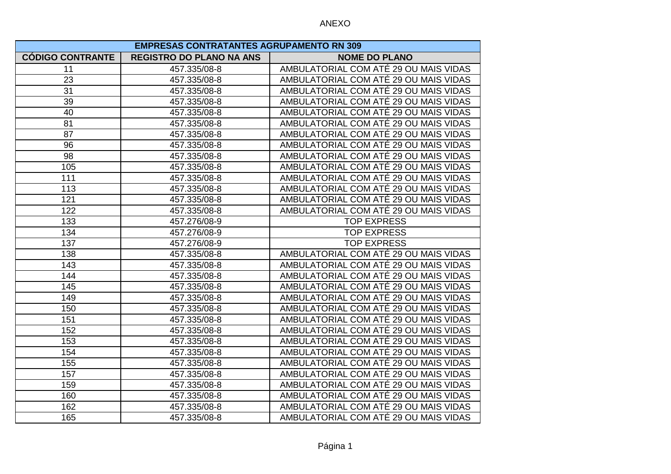| <b>EMPRESAS CONTRATANTES AGRUPAMENTO RN 309</b> |                                 |                                       |
|-------------------------------------------------|---------------------------------|---------------------------------------|
| <b>CÓDIGO CONTRANTE</b>                         | <b>REGISTRO DO PLANO NA ANS</b> | <b>NOME DO PLANO</b>                  |
| 11                                              | 457.335/08-8                    | AMBULATORIAL COM ATÉ 29 OU MAIS VIDAS |
| 23                                              | 457.335/08-8                    | AMBULATORIAL COM ATÉ 29 OU MAIS VIDAS |
| 31                                              | 457.335/08-8                    | AMBULATORIAL COM ATÉ 29 OU MAIS VIDAS |
| 39                                              | 457.335/08-8                    | AMBULATORIAL COM ATÉ 29 OU MAIS VIDAS |
| 40                                              | 457.335/08-8                    | AMBULATORIAL COM ATÉ 29 OU MAIS VIDAS |
| 81                                              | 457.335/08-8                    | AMBULATORIAL COM ATÉ 29 OU MAIS VIDAS |
| 87                                              | 457.335/08-8                    | AMBULATORIAL COM ATÉ 29 OU MAIS VIDAS |
| 96                                              | 457.335/08-8                    | AMBULATORIAL COM ATÉ 29 OU MAIS VIDAS |
| 98                                              | 457.335/08-8                    | AMBULATORIAL COM ATÉ 29 OU MAIS VIDAS |
| 105                                             | 457.335/08-8                    | AMBULATORIAL COM ATÉ 29 OU MAIS VIDAS |
| 111                                             | 457.335/08-8                    | AMBULATORIAL COM ATÉ 29 OU MAIS VIDAS |
| 113                                             | 457.335/08-8                    | AMBULATORIAL COM ATÉ 29 OU MAIS VIDAS |
| 121                                             | 457.335/08-8                    | AMBULATORIAL COM ATÉ 29 OU MAIS VIDAS |
| 122                                             | 457.335/08-8                    | AMBULATORIAL COM ATÉ 29 OU MAIS VIDAS |
| 133                                             | 457.276/08-9                    | <b>TOP EXPRESS</b>                    |
| 134                                             | 457.276/08-9                    | <b>TOP EXPRESS</b>                    |
| 137                                             | 457.276/08-9                    | <b>TOP EXPRESS</b>                    |
| 138                                             | 457.335/08-8                    | AMBULATORIAL COM ATÉ 29 OU MAIS VIDAS |
| 143                                             | 457.335/08-8                    | AMBULATORIAL COM ATÉ 29 OU MAIS VIDAS |
| 144                                             | 457.335/08-8                    | AMBULATORIAL COM ATÉ 29 OU MAIS VIDAS |
| 145                                             | 457.335/08-8                    | AMBULATORIAL COM ATÉ 29 OU MAIS VIDAS |
| 149                                             | 457.335/08-8                    | AMBULATORIAL COM ATÉ 29 OU MAIS VIDAS |
| 150                                             | 457.335/08-8                    | AMBULATORIAL COM ATÉ 29 OU MAIS VIDAS |
| 151                                             | 457.335/08-8                    | AMBULATORIAL COM ATÉ 29 OU MAIS VIDAS |
| 152                                             | 457.335/08-8                    | AMBULATORIAL COM ATÉ 29 OU MAIS VIDAS |
| 153                                             | 457.335/08-8                    | AMBULATORIAL COM ATÉ 29 OU MAIS VIDAS |
| 154                                             | 457.335/08-8                    | AMBULATORIAL COM ATÉ 29 OU MAIS VIDAS |
| 155                                             | 457.335/08-8                    | AMBULATORIAL COM ATÉ 29 OU MAIS VIDAS |
| 157                                             | 457.335/08-8                    | AMBULATORIAL COM ATÉ 29 OU MAIS VIDAS |
| 159                                             | 457.335/08-8                    | AMBULATORIAL COM ATÉ 29 OU MAIS VIDAS |
| 160                                             | 457.335/08-8                    | AMBULATORIAL COM ATÉ 29 OU MAIS VIDAS |
| 162                                             | 457.335/08-8                    | AMBULATORIAL COM ATÉ 29 OU MAIS VIDAS |
| 165                                             | 457.335/08-8                    | AMBULATORIAL COM ATÉ 29 OU MAIS VIDAS |